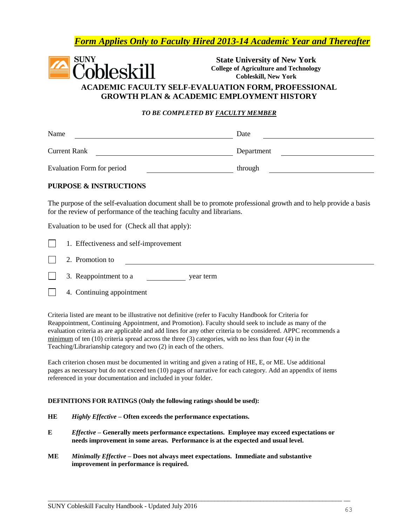## *Form Applies Only to Faculty Hired 2013-14 Academic Year and Thereafter*



**State University of New York College of Agriculture and Technology Cobleskill, New York**

## **ACADEMIC FACULTY SELF-EVALUATION FORM, PROFESSIONAL GROWTH PLAN & ACADEMIC EMPLOYMENT HISTORY**

#### *TO BE COMPLETED BY FACULTY MEMBER*

| Name                              | Date       |
|-----------------------------------|------------|
| <b>Current Rank</b>               | Department |
| <b>Evaluation Form for period</b> | through    |

#### **PURPOSE & INSTRUCTIONS**

The purpose of the self-evaluation document shall be to promote professional growth and to help provide a basis for the review of performance of the teaching faculty and librarians.

Evaluation to be used for (Check all that apply):

|  | 1. Effectiveness and self-improvement |
|--|---------------------------------------|

2. Promotion to

| 3. Reappointment to a | year term |
|-----------------------|-----------|
|-----------------------|-----------|

 $\sim$ 4. Continuing appointment

Criteria listed are meant to be illustrative not definitive (refer to Faculty Handbook for Criteria for Reappointment, Continuing Appointment, and Promotion). Faculty should seek to include as many of the evaluation criteria as are applicable and add lines for any other criteria to be considered. APPC recommends a minimum of ten (10) criteria spread across the three (3) categories, with no less than four (4) in the Teaching/Librarianship category and two (2) in each of the others.

Each criterion chosen must be documented in writing and given a rating of HE, E, or ME. Use additional pages as necessary but do not exceed ten (10) pages of narrative for each category. Add an appendix of items referenced in your documentation and included in your folder.

#### **DEFINITIONS FOR RATINGS (Only the following ratings should be used):**

- **HE** *Highly Effective* **– Often exceeds the performance expectations.**
- **E** *Effective* **– Generally meets performance expectations. Employee may exceed expectations or needs improvement in some areas. Performance is at the expected and usual level.**

 $\overline{\phantom{a}}$  , and the contribution of the contribution of the contribution of the contribution of the contribution of the contribution of the contribution of the contribution of the contribution of the contribution of the

**ME** *Minimally Effective* **– Does not always meet expectations. Immediate and substantive improvement in performance is required.**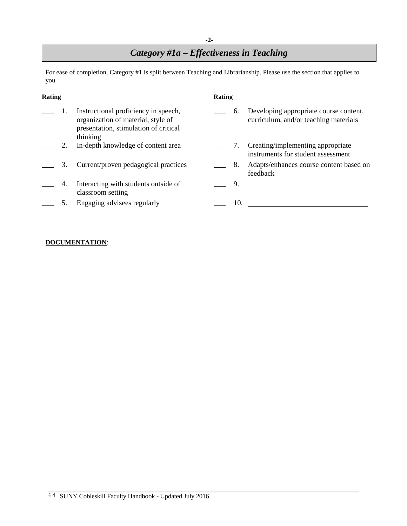#### **-2-**

# *Category #1a – Effectiveness in Teaching*

For ease of completion, Category #1 is split between Teaching and Librarianship. Please use the section that applies to you.

| Rating |     |                                                                                                                                 | Rating |     |                                                                                 |
|--------|-----|---------------------------------------------------------------------------------------------------------------------------------|--------|-----|---------------------------------------------------------------------------------|
|        |     | Instructional proficiency in speech,<br>organization of material, style of<br>presentation, stimulation of critical<br>thinking |        | 6.  | Developing appropriate course content,<br>curriculum, and/or teaching materials |
|        |     | In-depth knowledge of content area                                                                                              |        | 7.  | Creating/implementing appropriate<br>instruments for student assessment         |
|        | 3.  | Current/proven pedagogical practices                                                                                            |        | 8.  | Adapts/enhances course content based on<br>feedback                             |
|        | -4. | Interacting with students outside of<br>classroom setting                                                                       |        | 9.  |                                                                                 |
|        |     | Engaging advisees regularly                                                                                                     |        | 10. |                                                                                 |

#### **DOCUMENTATION**: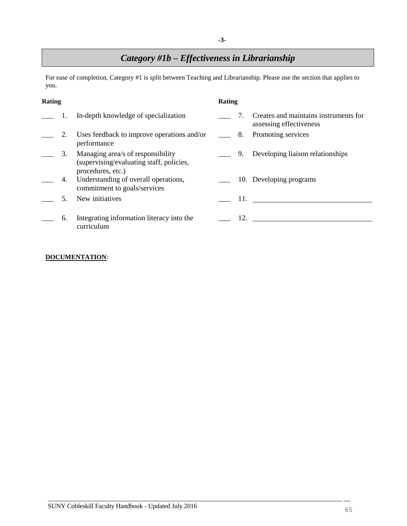## *Category #1b – Effectiveness in Librarianship*

For ease of completion, Category #1 is split between Teaching and Librarianship. Please use the section that applies to you.

| Rating |    |                                                                                                    | Rating |     |                                                                  |  |  |
|--------|----|----------------------------------------------------------------------------------------------------|--------|-----|------------------------------------------------------------------|--|--|
|        |    | In-depth knowledge of specialization                                                               |        |     | Creates and maintains instruments for<br>assessing effectiveness |  |  |
|        | 2. | Uses feedback to improve operations and/or<br>performance                                          |        |     | <u>2</u> 8. Promoting services                                   |  |  |
|        | 3. | Managing area/s of responsibility<br>(supervising/evaluating staff, policies,<br>procedures, etc.) |        | 9.  | Developing liaison relationships                                 |  |  |
|        | 4. | Understanding of overall operations,<br>commitment to goals/services                               |        |     | 10. Developing programs                                          |  |  |
|        | 5. | New initiatives                                                                                    |        | 11. |                                                                  |  |  |
|        | 6. | Integrating information literacy into the<br>curriculum                                            |        | 12. |                                                                  |  |  |

 $\overline{\phantom{a}}$  , and the contribution of the contribution of the contribution of the contribution of the contribution of the contribution of the contribution of the contribution of the contribution of the contribution of the

### **DOCUMENTATION**: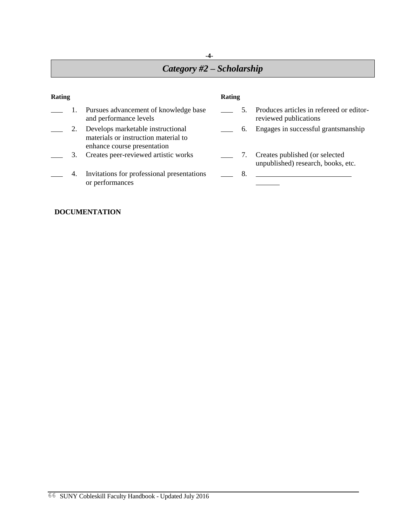## **-4-** *Category #2 – Scholarship*

| <b>Rating</b> |    |                                                                                                          | Rating |    |                                                                      |  |
|---------------|----|----------------------------------------------------------------------------------------------------------|--------|----|----------------------------------------------------------------------|--|
|               |    | Pursues advancement of knowledge base<br>and performance levels                                          |        | 5. | Produces articles in refereed or editor-<br>reviewed publications    |  |
|               |    | Develops marketable instructional<br>materials or instruction material to<br>enhance course presentation |        | 6. | Engages in successful grantsmanship                                  |  |
|               | 3. | Creates peer-reviewed artistic works                                                                     |        | 7. | Creates published (or selected<br>unpublished) research, books, etc. |  |
|               | 4. | Invitations for professional presentations<br>or performances                                            |        | 8. |                                                                      |  |

## **DOCUMENTATION**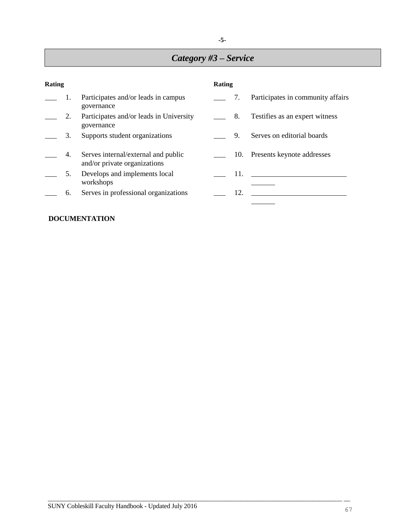## *Category #3 – Service*

| Rating |    |                                                                     | Rating |     |                                   |  |  |
|--------|----|---------------------------------------------------------------------|--------|-----|-----------------------------------|--|--|
|        | 1. | Participates and/or leads in campus<br>governance                   |        | 7.  | Participates in community affairs |  |  |
|        | 2. | Participates and/or leads in University<br>governance               |        | 8.  | Testifies as an expert witness    |  |  |
|        | 3. | Supports student organizations                                      |        | 9.  | Serves on editorial boards        |  |  |
|        | 4. | Serves internal/external and public<br>and/or private organizations |        | 10. | Presents keynote addresses        |  |  |
|        | 5. | Develops and implements local<br>workshops                          |        |     |                                   |  |  |
|        | 6. | Serves in professional organizations                                |        | 12. |                                   |  |  |

 $\overline{\phantom{a}}$  , and the contribution of the contribution of the contribution of the contribution of the contribution of the contribution of the contribution of the contribution of the contribution of the contribution of the

## **DOCUMENTATION**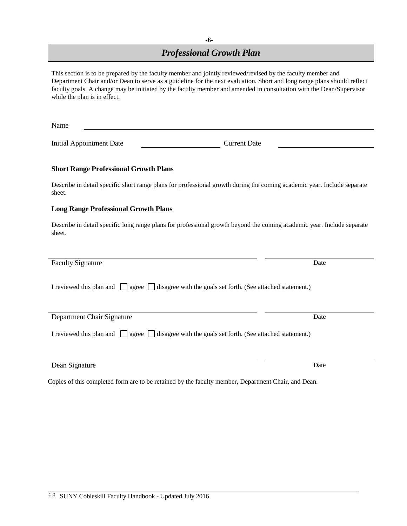## *Professional Growth Plan*

| This section is to be prepared by the faculty member and jointly reviewed/revised by the faculty member and<br>Department Chair and/or Dean to serve as a guideline for the next evaluation. Short and long range plans should reflect<br>faculty goals. A change may be initiated by the faculty member and amended in consultation with the Dean/Supervisor<br>while the plan is in effect. |      |  |  |  |  |
|-----------------------------------------------------------------------------------------------------------------------------------------------------------------------------------------------------------------------------------------------------------------------------------------------------------------------------------------------------------------------------------------------|------|--|--|--|--|
| Name                                                                                                                                                                                                                                                                                                                                                                                          |      |  |  |  |  |
| <b>Initial Appointment Date</b><br><b>Current Date</b>                                                                                                                                                                                                                                                                                                                                        |      |  |  |  |  |
| <b>Short Range Professional Growth Plans</b>                                                                                                                                                                                                                                                                                                                                                  |      |  |  |  |  |
| Describe in detail specific short range plans for professional growth during the coming academic year. Include separate<br>sheet.                                                                                                                                                                                                                                                             |      |  |  |  |  |
| <b>Long Range Professional Growth Plans</b>                                                                                                                                                                                                                                                                                                                                                   |      |  |  |  |  |
| Describe in detail specific long range plans for professional growth beyond the coming academic year. Include separate<br>sheet.                                                                                                                                                                                                                                                              |      |  |  |  |  |
| <b>Faculty Signature</b>                                                                                                                                                                                                                                                                                                                                                                      | Date |  |  |  |  |
| I reviewed this plan and $\Box$ agree $\Box$ disagree with the goals set forth. (See attached statement.)                                                                                                                                                                                                                                                                                     |      |  |  |  |  |
| Department Chair Signature                                                                                                                                                                                                                                                                                                                                                                    | Date |  |  |  |  |
| I reviewed this plan and $\Box$ agree $\Box$ disagree with the goals set forth. (See attached statement.)                                                                                                                                                                                                                                                                                     |      |  |  |  |  |
| Dean Signature                                                                                                                                                                                                                                                                                                                                                                                | Date |  |  |  |  |

Copies of this completed form are to be retained by the faculty member, Department Chair, and Dean.